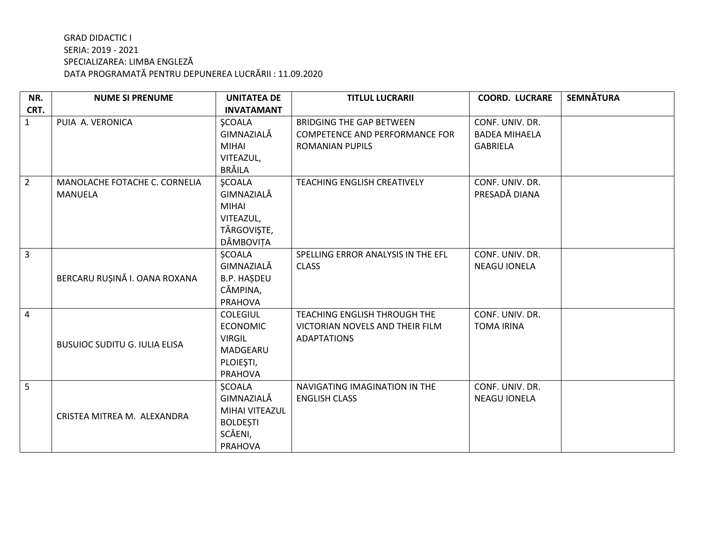| NR.            | <b>NUME SI PRENUME</b>               | <b>UNITATEA DE</b> | <b>TITLUL LUCRARII</b>                | <b>COORD. LUCRARE</b> | <b>SEMNĂTURA</b> |
|----------------|--------------------------------------|--------------------|---------------------------------------|-----------------------|------------------|
| CRT.           |                                      | <b>INVATAMANT</b>  |                                       |                       |                  |
| $\mathbf{1}$   | PUIA A. VERONICA                     | <b>ŞCOALA</b>      | <b>BRIDGING THE GAP BETWEEN</b>       | CONF. UNIV. DR.       |                  |
|                |                                      | GIMNAZIALĂ         | <b>COMPETENCE AND PERFORMANCE FOR</b> | <b>BADEA MIHAELA</b>  |                  |
|                |                                      | <b>MIHAI</b>       | ROMANIAN PUPILS                       | <b>GABRIELA</b>       |                  |
|                |                                      | VITEAZUL,          |                                       |                       |                  |
|                |                                      | <b>BRĂILA</b>      |                                       |                       |                  |
| $\overline{2}$ | MANOLACHE FOTACHE C. CORNELIA        | <b>ŞCOALA</b>      | <b>TEACHING ENGLISH CREATIVELY</b>    | CONF. UNIV. DR.       |                  |
|                | <b>MANUELA</b>                       | GIMNAZIALĂ         |                                       | PRESADĂ DIANA         |                  |
|                |                                      | <b>MIHAI</b>       |                                       |                       |                  |
|                |                                      | VITEAZUL,          |                                       |                       |                  |
|                |                                      | TÂRGOVIŞTE,        |                                       |                       |                  |
|                |                                      | DÂMBOVIȚA          |                                       |                       |                  |
| $\overline{3}$ |                                      | <b>SCOALA</b>      | SPELLING ERROR ANALYSIS IN THE EFL    | CONF. UNIV. DR.       |                  |
|                |                                      | GIMNAZIALĂ         | <b>CLASS</b>                          | <b>NEAGU IONELA</b>   |                  |
|                | BERCARU RUȘINĂ I. OANA ROXANA        | <b>B.P. HAŞDEU</b> |                                       |                       |                  |
|                |                                      | CÂMPINA,           |                                       |                       |                  |
|                |                                      | <b>PRAHOVA</b>     |                                       |                       |                  |
| 4              |                                      | <b>COLEGIUL</b>    | TEACHING ENGLISH THROUGH THE          | CONF. UNIV. DR.       |                  |
|                |                                      | <b>ECONOMIC</b>    | VICTORIAN NOVELS AND THEIR FILM       | <b>TOMA IRINA</b>     |                  |
|                | <b>BUSUIOC SUDITU G. IULIA ELISA</b> | <b>VIRGIL</b>      | <b>ADAPTATIONS</b>                    |                       |                  |
|                |                                      | MADGEARU           |                                       |                       |                  |
|                |                                      | PLOIEȘTI,          |                                       |                       |                  |
|                |                                      | <b>PRAHOVA</b>     |                                       |                       |                  |
| 5              |                                      | <b>SCOALA</b>      | NAVIGATING IMAGINATION IN THE         | CONF. UNIV. DR.       |                  |
|                |                                      | GIMNAZIALĂ         | <b>ENGLISH CLASS</b>                  | <b>NEAGU IONELA</b>   |                  |
|                | CRISTEA MITREA M. ALEXANDRA          | MIHAI VITEAZUL     |                                       |                       |                  |
|                |                                      | <b>BOLDEȘTI</b>    |                                       |                       |                  |
|                |                                      | SCĂENI,            |                                       |                       |                  |
|                |                                      | <b>PRAHOVA</b>     |                                       |                       |                  |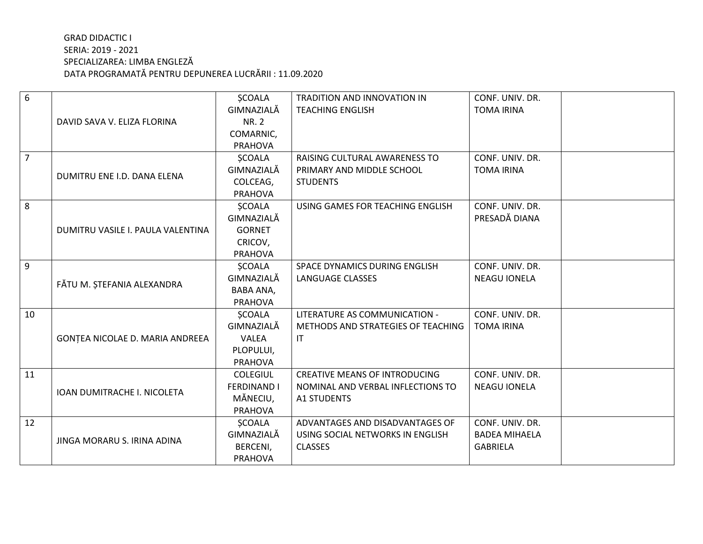| 6  |                                   | <b>SCOALA</b>      | <b>TRADITION AND INNOVATION IN</b>   | CONF. UNIV. DR.      |
|----|-----------------------------------|--------------------|--------------------------------------|----------------------|
|    |                                   | GIMNAZIALĂ         | <b>TEACHING ENGLISH</b>              | <b>TOMA IRINA</b>    |
|    | DAVID SAVA V. ELIZA FLORINA       | <b>NR. 2</b>       |                                      |                      |
|    |                                   | COMARNIC,          |                                      |                      |
|    |                                   | <b>PRAHOVA</b>     |                                      |                      |
| 7  |                                   | <b>SCOALA</b>      | RAISING CULTURAL AWARENESS TO        | CONF. UNIV. DR.      |
|    | DUMITRU ENE I.D. DANA ELENA       | GIMNAZIALĂ         | PRIMARY AND MIDDLE SCHOOL            | <b>TOMA IRINA</b>    |
|    |                                   | COLCEAG,           | <b>STUDENTS</b>                      |                      |
|    |                                   | <b>PRAHOVA</b>     |                                      |                      |
| 8  |                                   | <b>ŞCOALA</b>      | USING GAMES FOR TEACHING ENGLISH     | CONF. UNIV. DR.      |
|    |                                   | GIMNAZIALĂ         |                                      | PRESADĂ DIANA        |
|    | DUMITRU VASILE I. PAULA VALENTINA | <b>GORNET</b>      |                                      |                      |
|    |                                   | CRICOV,            |                                      |                      |
|    |                                   | <b>PRAHOVA</b>     |                                      |                      |
| 9  |                                   | <b>ŞCOALA</b>      | SPACE DYNAMICS DURING ENGLISH        | CONF. UNIV. DR.      |
|    | FĂTU M. ȘTEFANIA ALEXANDRA        | GIMNAZIALĂ         | <b>LANGUAGE CLASSES</b>              | <b>NEAGU IONELA</b>  |
|    |                                   | <b>BABA ANA,</b>   |                                      |                      |
|    |                                   | <b>PRAHOVA</b>     |                                      |                      |
| 10 |                                   | <b>ŞCOALA</b>      | LITERATURE AS COMMUNICATION -        | CONF. UNIV. DR.      |
|    |                                   | GIMNAZIALĂ         | METHODS AND STRATEGIES OF TEACHING   | <b>TOMA IRINA</b>    |
|    | GONȚEA NICOLAE D. MARIA ANDREEA   | <b>VALEA</b>       | IT                                   |                      |
|    |                                   | PLOPULUI,          |                                      |                      |
|    |                                   | <b>PRAHOVA</b>     |                                      |                      |
| 11 |                                   | <b>COLEGIUL</b>    | <b>CREATIVE MEANS OF INTRODUCING</b> | CONF. UNIV. DR.      |
|    | IOAN DUMITRACHE I. NICOLETA       | <b>FERDINAND I</b> | NOMINAL AND VERBAL INFLECTIONS TO    | <b>NEAGU IONELA</b>  |
|    |                                   | MĂNECIU,           | <b>A1 STUDENTS</b>                   |                      |
|    |                                   | <b>PRAHOVA</b>     |                                      |                      |
| 12 | JINGA MORARU S. IRINA ADINA       | <b>ŞCOALA</b>      | ADVANTAGES AND DISADVANTAGES OF      | CONF. UNIV. DR.      |
|    |                                   | GIMNAZIALĂ         | USING SOCIAL NETWORKS IN ENGLISH     | <b>BADEA MIHAELA</b> |
|    |                                   | BERCENI,           | <b>CLASSES</b>                       | <b>GABRIELA</b>      |
|    |                                   | <b>PRAHOVA</b>     |                                      |                      |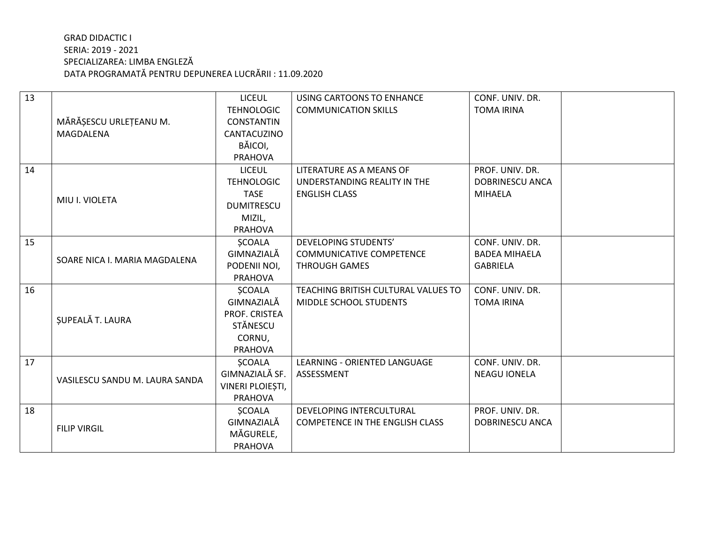| 13 |                                | <b>LICEUL</b>     | <b>USING CARTOONS TO ENHANCE</b>       | CONF. UNIV. DR.        |
|----|--------------------------------|-------------------|----------------------------------------|------------------------|
|    |                                | <b>TEHNOLOGIC</b> | <b>COMMUNICATION SKILLS</b>            | <b>TOMA IRINA</b>      |
|    | MĂRĂȘESCU URLEȚEANU M.         | <b>CONSTANTIN</b> |                                        |                        |
|    | MAGDALENA                      | CANTACUZINO       |                                        |                        |
|    |                                | BĂICOI,           |                                        |                        |
|    |                                | <b>PRAHOVA</b>    |                                        |                        |
| 14 |                                | <b>LICEUL</b>     | LITERATURE AS A MEANS OF               | PROF. UNIV. DR.        |
|    | MIU I. VIOLETA                 | <b>TEHNOLOGIC</b> | UNDERSTANDING REALITY IN THE           | <b>DOBRINESCU ANCA</b> |
|    |                                | <b>TASE</b>       | <b>ENGLISH CLASS</b>                   | <b>MIHAELA</b>         |
|    |                                | <b>DUMITRESCU</b> |                                        |                        |
|    |                                | MIZIL,            |                                        |                        |
|    |                                | <b>PRAHOVA</b>    |                                        |                        |
| 15 |                                | <b>ŞCOALA</b>     | DEVELOPING STUDENTS'                   | CONF. UNIV. DR.        |
|    | SOARE NICA I. MARIA MAGDALENA  | GIMNAZIALĂ        | <b>COMMUNICATIVE COMPETENCE</b>        | <b>BADEA MIHAELA</b>   |
|    |                                | PODENII NOI,      | <b>THROUGH GAMES</b>                   | <b>GABRIELA</b>        |
|    |                                | <b>PRAHOVA</b>    |                                        |                        |
| 16 |                                | <b>SCOALA</b>     | TEACHING BRITISH CULTURAL VALUES TO    | CONF. UNIV. DR.        |
|    |                                | GIMNAZIALĂ        | <b>MIDDLE SCHOOL STUDENTS</b>          | <b>TOMA IRINA</b>      |
|    | ȘUPEALĂ T. LAURA               | PROF. CRISTEA     |                                        |                        |
|    |                                | <b>STĂNESCU</b>   |                                        |                        |
|    |                                | CORNU,            |                                        |                        |
|    |                                | <b>PRAHOVA</b>    |                                        |                        |
| 17 | VASILESCU SANDU M. LAURA SANDA | <b>SCOALA</b>     | LEARNING - ORIENTED LANGUAGE           | CONF. UNIV. DR.        |
|    |                                | GIMNAZIALĂ SF.    | ASSESSMENT                             | <b>NEAGU IONELA</b>    |
|    |                                | VINERI PLOIEȘTI,  |                                        |                        |
|    |                                | <b>PRAHOVA</b>    |                                        |                        |
| 18 |                                | <b>SCOALA</b>     | DEVELOPING INTERCULTURAL               | PROF. UNIV. DR.        |
|    | <b>FILIP VIRGIL</b>            | GIMNAZIALĂ        | <b>COMPETENCE IN THE ENGLISH CLASS</b> | <b>DOBRINESCU ANCA</b> |
|    |                                | MĂGURELE,         |                                        |                        |
|    |                                | <b>PRAHOVA</b>    |                                        |                        |